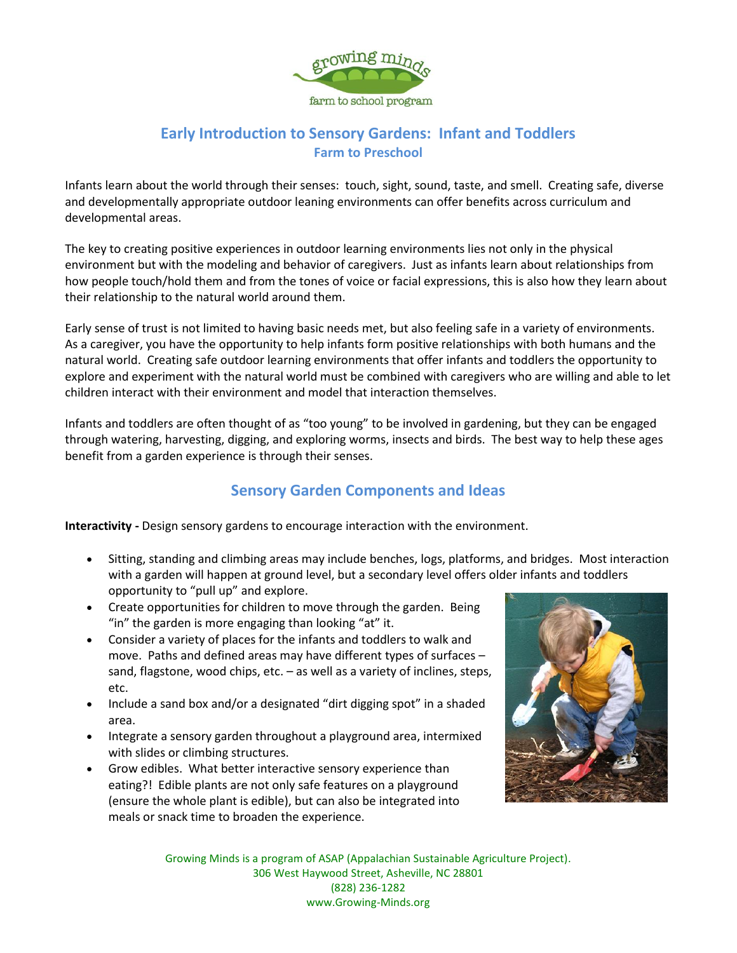

## **Early Introduction to Sensory Gardens: Infant and Toddlers Farm to Preschool**

Infants learn about the world through their senses: touch, sight, sound, taste, and smell. Creating safe, diverse and developmentally appropriate outdoor leaning environments can offer benefits across curriculum and developmental areas.

The key to creating positive experiences in outdoor learning environments lies not only in the physical environment but with the modeling and behavior of caregivers. Just as infants learn about relationships from how people touch/hold them and from the tones of voice or facial expressions, this is also how they learn about their relationship to the natural world around them.

Early sense of trust is not limited to having basic needs met, but also feeling safe in a variety of environments. As a caregiver, you have the opportunity to help infants form positive relationships with both humans and the natural world. Creating safe outdoor learning environments that offer infants and toddlers the opportunity to explore and experiment with the natural world must be combined with caregivers who are willing and able to let children interact with their environment and model that interaction themselves.

Infants and toddlers are often thought of as "too young" to be involved in gardening, but they can be engaged through watering, harvesting, digging, and exploring worms, insects and birds. The best way to help these ages benefit from a garden experience is through their senses.

## **Sensory Garden Components and Ideas**

**Interactivity -** Design sensory gardens to encourage interaction with the environment.

- Sitting, standing and climbing areas may include benches, logs, platforms, and bridges. Most interaction with a garden will happen at ground level, but a secondary level offers older infants and toddlers opportunity to "pull up" and explore.
- Create opportunities for children to move through the garden. Being "in" the garden is more engaging than looking "at" it.
- Consider a variety of places for the infants and toddlers to walk and move. Paths and defined areas may have different types of surfaces – sand, flagstone, wood chips, etc. – as well as a variety of inclines, steps, etc.
- Include a sand box and/or a designated "dirt digging spot" in a shaded area.
- Integrate a sensory garden throughout a playground area, intermixed with slides or climbing structures.
- Grow edibles. What better interactive sensory experience than eating?! Edible plants are not only safe features on a playground (ensure the whole plant is edible), but can also be integrated into meals or snack time to broaden the experience.



Growing Minds is a program of ASAP (Appalachian Sustainable Agriculture Project). 306 West Haywood Street, Asheville, NC 28801 (828) 236-1282 www.Growing-Minds.org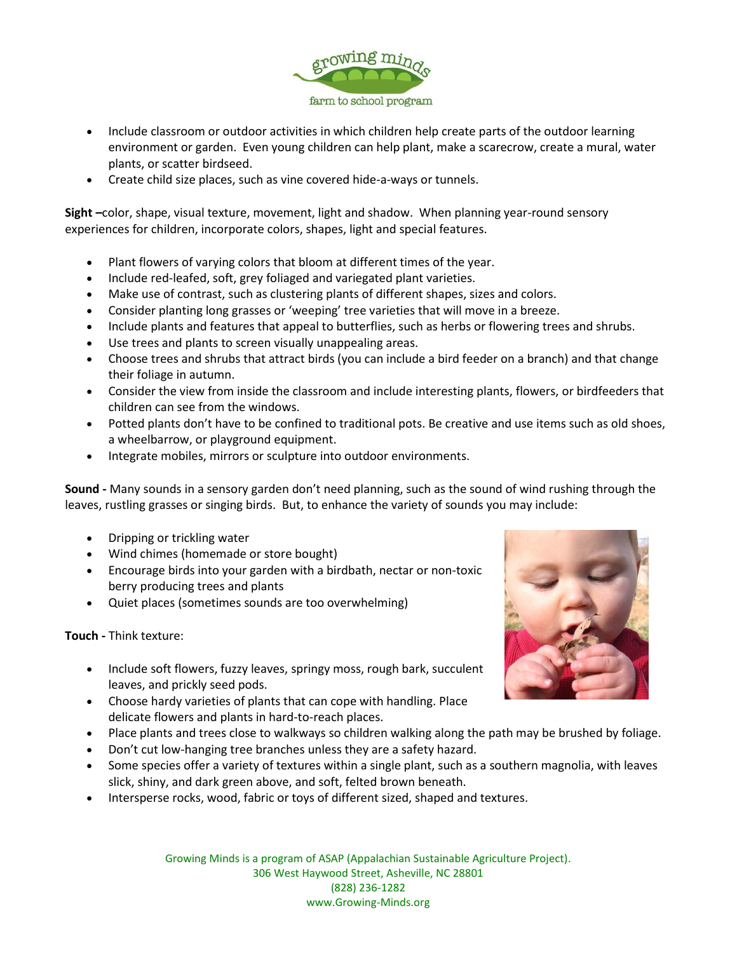

- Include classroom or outdoor activities in which children help create parts of the outdoor learning environment or garden. Even young children can help plant, make a scarecrow, create a mural, water plants, or scatter birdseed.
- Create child size places, such as vine covered hide-a-ways or tunnels.

**Sight –**color, shape, visual texture, movement, light and shadow. When planning year-round sensory experiences for children, incorporate colors, shapes, light and special features.

- Plant flowers of varying colors that bloom at different times of the year.
- Include red-leafed, soft, grey foliaged and variegated plant varieties.
- Make use of contrast, such as clustering plants of different shapes, sizes and colors.
- Consider planting long grasses or 'weeping' tree varieties that will move in a breeze.
- Include plants and features that appeal to butterflies, such as herbs or flowering trees and shrubs.
- Use trees and plants to screen visually unappealing areas.
- Choose trees and shrubs that attract birds (you can include a bird feeder on a branch) and that change their foliage in autumn.
- Consider the view from inside the classroom and include interesting plants, flowers, or birdfeeders that children can see from the windows.
- Potted plants don't have to be confined to traditional pots. Be creative and use items such as old shoes, a wheelbarrow, or playground equipment.
- Integrate mobiles, mirrors or sculpture into outdoor environments.

**Sound -** Many sounds in a sensory garden don't need planning, such as the sound of wind rushing through the leaves, rustling grasses or singing birds. But, to enhance the variety of sounds you may include:

- Dripping or trickling water
- Wind chimes (homemade or store bought)
- Encourage birds into your garden with a birdbath, nectar or non-toxic berry producing trees and plants
- Quiet places (sometimes sounds are too overwhelming)

## **Touch -** Think texture:

- Include soft flowers, fuzzy leaves, springy moss, rough bark, succulent leaves, and prickly seed pods.
- Choose hardy varieties of plants that can cope with handling. Place delicate flowers and plants in hard-to-reach places.
- Place plants and trees close to walkways so children walking along the path may be brushed by foliage.
- Don't cut low-hanging tree branches unless they are a safety hazard.
- Some species offer a variety of textures within a single plant, such as a southern magnolia, with leaves slick, shiny, and dark green above, and soft, felted brown beneath.
- Intersperse rocks, wood, fabric or toys of different sized, shaped and textures.

Growing Minds is a program of ASAP (Appalachian Sustainable Agriculture Project). 306 West Haywood Street, Asheville, NC 28801 (828) 236-1282 www.Growing-Minds.org